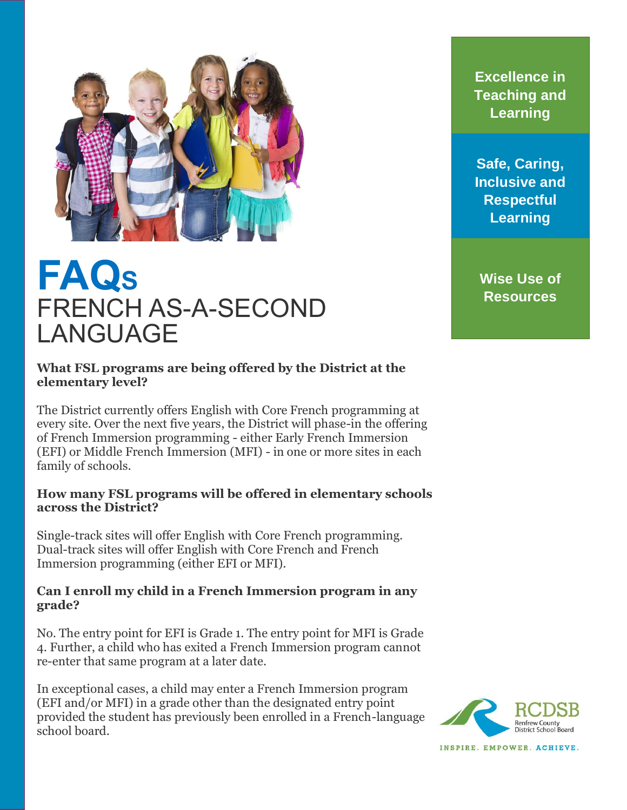

# **FAQ<sup>S</sup>** FRENCH AS-A-SECOND LANGUAGE

## **What FSL programs are being offered by the District at the elementary level?**

The District currently offers English with Core French programming at every site. Over the next five years, the District will phase-in the offering of French Immersion programming - either Early French Immersion (EFI) or Middle French Immersion (MFI) - in one or more sites in each family of schools.

#### **How many FSL programs will be offered in elementary schools across the District?**

Single-track sites will offer English with Core French programming. Dual-track sites will offer English with Core French and French Immersion programming (either EFI or MFI).

## **Can I enroll my child in a French Immersion program in any grade?**

No. The entry point for EFI is Grade 1. The entry point for MFI is Grade 4. Further, a child who has exited a French Immersion program cannot re-enter that same program at a later date.

In exceptional cases, a child may enter a French Immersion program (EFI and/or MFI) in a grade other than the designated entry point provided the student has previously been enrolled in a French-language school board.

**Excellence in Teaching and Learning**

**Safe, Caring, Inclusive and Respectful Learning** 

**Wise Use of Resources**

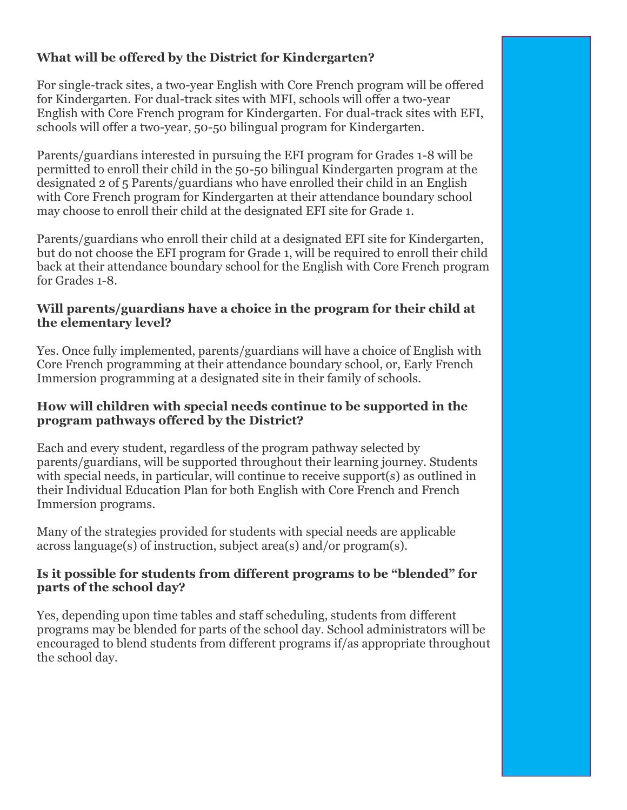## **What will be offered by the District for Kindergarten?**

For single-track sites, a two-year English with Core French program will be offered for Kindergarten. For dual-track sites with MFI, schools will offer a two-year English with Core French program for Kindergarten. For dual-track sites with EFI, schools will offer a two-year, 50-50 bilingual program for Kindergarten.

Parents/guardians interested in pursuing the EFI program for Grades 1-8 will be permitted to enroll their child in the 50-50 bilingual Kindergarten program at the designated 2 of 5 Parents/guardians who have enrolled their child in an English with Core French program for Kindergarten at their attendance boundary school may choose to enroll their child at the designated EFI site for Grade 1.

Parents/guardians who enroll their child at a designated EFI site for Kindergarten, but do not choose the EFI program for Grade 1, will be required to enroll their child back at their attendance boundary school for the English with Core French program for Grades 1-8.

## **Will parents/guardians have a choice in the program for their child at the elementary level?**

Yes. Once fully implemented, parents/guardians will have a choice of English with Core French programming at their attendance boundary school, or, Early French Immersion programming at a designated site in their family of schools.

## **How will children with special needs continue to be supported in the program pathways offered by the District?**

Each and every student, regardless of the program pathway selected by parents/guardians, will be supported throughout their learning journey. Students with special needs, in particular, will continue to receive support(s) as outlined in their Individual Education Plan for both English with Core French and French Immersion programs.

Many of the strategies provided for students with special needs are applicable across language(s) of instruction, subject area(s) and/or program(s).

## **Is it possible for students from different programs to be "blended" for parts of the school day?**

Yes, depending upon time tables and staff scheduling, students from different programs may be blended for parts of the school day. School administrators will be encouraged to blend students from different programs if/as appropriate throughout the school day.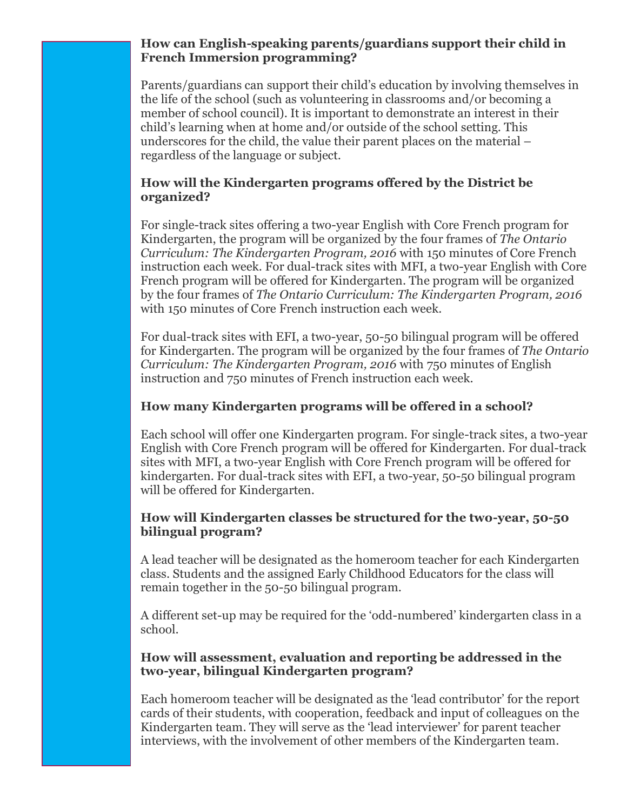## **How can English-speaking parents/guardians support their child in French Immersion programming?**

Parents/guardians can support their child's education by involving themselves in the life of the school (such as volunteering in classrooms and/or becoming a member of school council). It is important to demonstrate an interest in their child's learning when at home and/or outside of the school setting. This underscores for the child, the value their parent places on the material – regardless of the language or subject.

## **How will the Kindergarten programs offered by the District be organized?**

For single-track sites offering a two-year English with Core French program for Kindergarten, the program will be organized by the four frames of *The Ontario Curriculum: The Kindergarten Program, 2016* with 150 minutes of Core French instruction each week. For dual-track sites with MFI, a two-year English with Core French program will be offered for Kindergarten. The program will be organized by the four frames of *The Ontario Curriculum: The Kindergarten Program, 2016* with 150 minutes of Core French instruction each week.

For dual-track sites with EFI, a two-year, 50-50 bilingual program will be offered for Kindergarten. The program will be organized by the four frames of *The Ontario Curriculum: The Kindergarten Program, 2016* with 750 minutes of English instruction and 750 minutes of French instruction each week.

## **How many Kindergarten programs will be offered in a school?**

Each school will offer one Kindergarten program. For single-track sites, a two-year English with Core French program will be offered for Kindergarten. For dual-track sites with MFI, a two-year English with Core French program will be offered for kindergarten. For dual-track sites with EFI, a two-year, 50-50 bilingual program will be offered for Kindergarten.

## **How will Kindergarten classes be structured for the two-year, 50-50 bilingual program?**

A lead teacher will be designated as the homeroom teacher for each Kindergarten class. Students and the assigned Early Childhood Educators for the class will remain together in the 50-50 bilingual program.

A different set-up may be required for the 'odd-numbered' kindergarten class in a school.

## **How will assessment, evaluation and reporting be addressed in the two-year, bilingual Kindergarten program?**

Each homeroom teacher will be designated as the 'lead contributor' for the report cards of their students, with cooperation, feedback and input of colleagues on the Kindergarten team. They will serve as the 'lead interviewer' for parent teacher interviews, with the involvement of other members of the Kindergarten team.